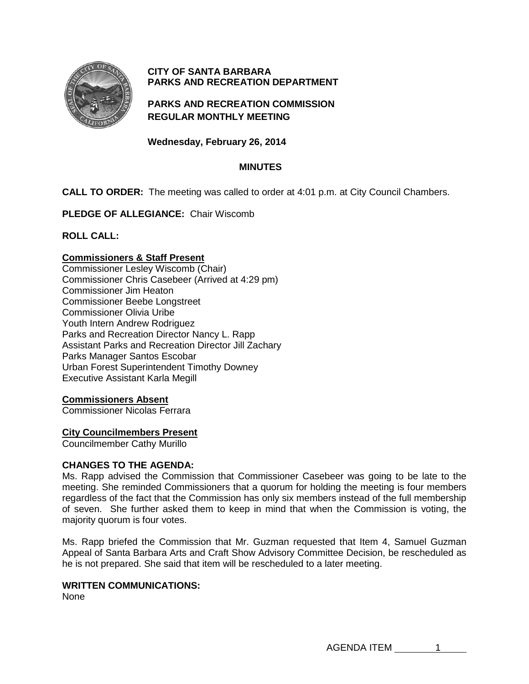

# **CITY OF SANTA BARBARA PARKS AND RECREATION DEPARTMENT**

**PARKS AND RECREATION COMMISSION REGULAR MONTHLY MEETING**

**Wednesday, February 26, 2014**

# **MINUTES**

**CALL TO ORDER:** The meeting was called to order at 4:01 p.m. at City Council Chambers.

**PLEDGE OF ALLEGIANCE:** Chair Wiscomb

**ROLL CALL:**

## **Commissioners & Staff Present**

Commissioner Lesley Wiscomb (Chair) Commissioner Chris Casebeer (Arrived at 4:29 pm) Commissioner Jim Heaton Commissioner Beebe Longstreet Commissioner Olivia Uribe Youth Intern Andrew Rodriguez Parks and Recreation Director Nancy L. Rapp Assistant Parks and Recreation Director Jill Zachary Parks Manager Santos Escobar Urban Forest Superintendent Timothy Downey Executive Assistant Karla Megill

### **Commissioners Absent**

Commissioner Nicolas Ferrara

### **City Councilmembers Present**

Councilmember Cathy Murillo

### **CHANGES TO THE AGENDA:**

Ms. Rapp advised the Commission that Commissioner Casebeer was going to be late to the meeting. She reminded Commissioners that a quorum for holding the meeting is four members regardless of the fact that the Commission has only six members instead of the full membership of seven. She further asked them to keep in mind that when the Commission is voting, the majority quorum is four votes.

Ms. Rapp briefed the Commission that Mr. Guzman requested that Item 4, Samuel Guzman Appeal of Santa Barbara Arts and Craft Show Advisory Committee Decision, be rescheduled as he is not prepared. She said that item will be rescheduled to a later meeting.

### **WRITTEN COMMUNICATIONS:**

None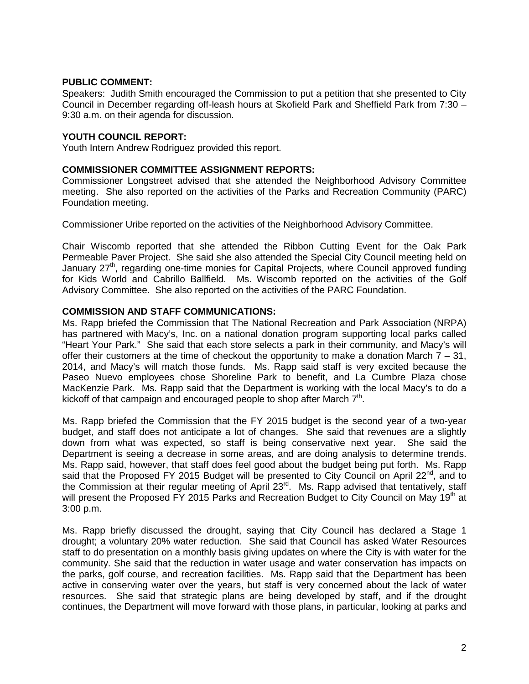## **PUBLIC COMMENT:**

Speakers: Judith Smith encouraged the Commission to put a petition that she presented to City Council in December regarding off-leash hours at Skofield Park and Sheffield Park from 7:30 – 9:30 a.m. on their agenda for discussion.

## **YOUTH COUNCIL REPORT:**

Youth Intern Andrew Rodriguez provided this report.

### **COMMISSIONER COMMITTEE ASSIGNMENT REPORTS:**

Commissioner Longstreet advised that she attended the Neighborhood Advisory Committee meeting. She also reported on the activities of the Parks and Recreation Community (PARC) Foundation meeting.

Commissioner Uribe reported on the activities of the Neighborhood Advisory Committee.

Chair Wiscomb reported that she attended the Ribbon Cutting Event for the Oak Park Permeable Paver Project. She said she also attended the Special City Council meeting held on January 27<sup>th</sup>, regarding one-time monies for Capital Projects, where Council approved funding for Kids World and Cabrillo Ballfield. Ms. Wiscomb reported on the activities of the Golf Advisory Committee. She also reported on the activities of the PARC Foundation.

### **COMMISSION AND STAFF COMMUNICATIONS:**

Ms. Rapp briefed the Commission that The National Recreation and Park Association (NRPA) has partnered with Macy's, Inc. on a national donation program supporting local parks called "Heart Your Park." She said that each store selects a park in their community, and Macy's will offer their customers at the time of checkout the opportunity to make a donation March  $7 - 31$ , 2014, and Macy's will match those funds. Ms. Rapp said staff is very excited because the Paseo Nuevo employees chose Shoreline Park to benefit, and La Cumbre Plaza chose MacKenzie Park. Ms. Rapp said that the Department is working with the local Macy's to do a kickoff of that campaign and encouraged people to shop after March  $7<sup>th</sup>$ .

Ms. Rapp briefed the Commission that the FY 2015 budget is the second year of a two-year budget, and staff does not anticipate a lot of changes. She said that revenues are a slightly down from what was expected, so staff is being conservative next year. She said the Department is seeing a decrease in some areas, and are doing analysis to determine trends. Ms. Rapp said, however, that staff does feel good about the budget being put forth. Ms. Rapp said that the Proposed FY 2015 Budget will be presented to City Council on April 22 $^{nd}$ , and to the Commission at their regular meeting of April 23<sup>rd</sup>. Ms. Rapp advised that tentatively, staff will present the Proposed FY 2015 Parks and Recreation Budget to City Council on May 19<sup>th</sup> at 3:00 p.m.

Ms. Rapp briefly discussed the drought, saying that City Council has declared a Stage 1 drought; a voluntary 20% water reduction. She said that Council has asked Water Resources staff to do presentation on a monthly basis giving updates on where the City is with water for the community. She said that the reduction in water usage and water conservation has impacts on the parks, golf course, and recreation facilities. Ms. Rapp said that the Department has been active in conserving water over the years, but staff is very concerned about the lack of water resources. She said that strategic plans are being developed by staff, and if the drought continues, the Department will move forward with those plans, in particular, looking at parks and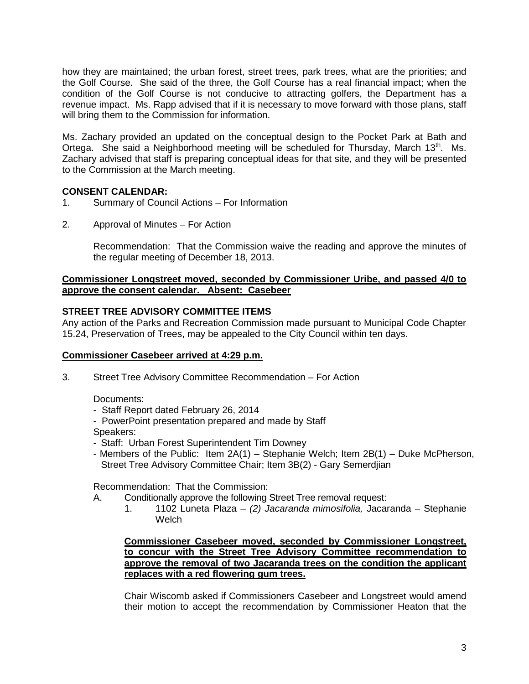how they are maintained; the urban forest, street trees, park trees, what are the priorities; and the Golf Course. She said of the three, the Golf Course has a real financial impact; when the condition of the Golf Course is not conducive to attracting golfers, the Department has a revenue impact. Ms. Rapp advised that if it is necessary to move forward with those plans, staff will bring them to the Commission for information.

Ms. Zachary provided an updated on the conceptual design to the Pocket Park at Bath and Ortega. She said a Neighborhood meeting will be scheduled for Thursday, March 13<sup>th</sup>. Ms. Zachary advised that staff is preparing conceptual ideas for that site, and they will be presented to the Commission at the March meeting.

## **CONSENT CALENDAR:**

- 1. Summary of Council Actions For Information
- 2. Approval of Minutes For Action

Recommendation: That the Commission waive the reading and approve the minutes of the regular meeting of December 18, 2013.

## **Commissioner Longstreet moved, seconded by Commissioner Uribe, and passed 4/0 to approve the consent calendar. Absent: Casebeer**

### **STREET TREE ADVISORY COMMITTEE ITEMS**

Any action of the Parks and Recreation Commission made pursuant to Municipal Code Chapter 15.24, Preservation of Trees, may be appealed to the City Council within ten days.

### **Commissioner Casebeer arrived at 4:29 p.m.**

3. Street Tree Advisory Committee Recommendation – For Action

Documents:

- Staff Report dated February 26, 2014
- PowerPoint presentation prepared and made by Staff Speakers:
- Staff: Urban Forest Superintendent Tim Downey
- Members of the Public: Item 2A(1) Stephanie Welch; Item 2B(1) Duke McPherson, Street Tree Advisory Committee Chair; Item 3B(2) - Gary Semerdjian

Recommendation: That the Commission:

- A. Conditionally approve the following Street Tree removal request:
	- 1. 1102 Luneta Plaza *(2) Jacaranda mimosifolia,* Jacaranda Stephanie **Welch**

**Commissioner Casebeer moved, seconded by Commissioner Longstreet, to concur with the Street Tree Advisory Committee recommendation to approve the removal of two Jacaranda trees on the condition the applicant replaces with a red flowering gum trees.**

Chair Wiscomb asked if Commissioners Casebeer and Longstreet would amend their motion to accept the recommendation by Commissioner Heaton that the